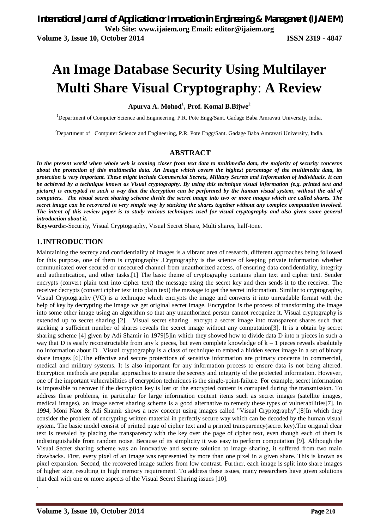**An Image Database Security Using Multilayer** 

# **Multi Share Visual Cryptography**: **A Review**

# **Apurva A. Mohod<sup>1</sup> , Prof. Komal B.Bijwe<sup>2</sup>**

<sup>1</sup>Department of Computer Science and Engineering, P.R. Pote Engg/Sant. Gadage Baba Amravati University, India.

<sup>2</sup>Department of Computer Science and Engineering, P.R. Pote Engg/Sant. Gadage Baba Amravati University, India.

# **ABSTRACT**

*In the present world when whole web is coming closer from text data to multimedia data, the majority of security concerns about the protection of this multimedia data. An Image which covers the highest percentage of the multimedia data, its protection is very important. These might include Commercial Secrets, Military Secrets and Information of individuals. It can be achieved by a technique known as Visual cryptography. By using this technique visual information (e.g. printed text and picture) is encrypted in such a way that the decryption can be performed by the human visual system, without the aid of computers. The visual secret sharing scheme divide the secret image into two or more images which are called shares. The secret image can be recovered in very simple way by stacking the shares together without any complex computation involved. The intent of this review paper is to study various techniques used for visual cryptography and also given some general introduction about it.*

**Keywords:-**Security, Visual Cryptography, Visual Secret Share, Multi shares, half-tone.

# **1.INTRODUCTION**

Maintaining the secrecy and confidentiality of images is a vibrant area of research, different approaches being followed for this purpose, one of them is cryptography .Cryptography is the science of keeping private information whether communicated over secured or unsecured channel from unauthorized access, of ensuring data confidentiality, integrity and authentication, and other tasks.[1] The basic theme of cryptography contains plain text and cipher text. Sender encrypts (convert plain text into cipher text) the message using the secret key and then sends it to the receiver. The receiver decrypts (convert cipher text into plain text) the message to get the secret information. Similar to cryptography, Visual Cryptography (VC) is a technique which encrypts the image and converts it into unreadable format with the help of key by decrypting the image we get original secret image. Encryption is the process of transforming the image into some other image using an algorithm so that any unauthorized person cannot recognize it. Visual cryptography is extended up to secret sharing [2]. Visual secret sharing encrypt a secret image into transparent shares such that stacking a sufficient number of shares reveals the secret image without any computation[3]. It is a obtain by secret sharing scheme [4] given by Adi Shamir in 1979[5]in which they showed how to divide data D into n pieces in such a way that D is easily reconstructable from any k pieces, but even complete knowledge of  $k - 1$  pieces reveals absolutely no information about D . Visual cryptography is a class of technique to embed a hidden secret image in a set of binary share images [6].The effective and secure protections of sensitive information are primary concerns in commercial, medical and military systems. It is also important for any information process to ensure data is not being altered. Encryption methods are popular approaches to ensure the secrecy and integrity of the protected information. However, one of the important vulnerabilities of encryption techniques is the single-point-failure. For example, secret information is impossible to recover if the decryption key is lost or the encrypted content is corrupted during the transmission. To address these problems, in particular for large information content items such as secret images (satellite images, medical images), an image secret sharing scheme is a good alternative to remedy these types of vulnerabilities[7]. In 1994, Moni Naor & Adi Shamir shows a new concept using images called "Visual Cryptography".[8]In which they consider the problem of encrypting written material in perfectly secure way which can be decoded by the human visual system. The basic model consist of printed page of cipher text and a printed transparency(secret key).The original clear text is revealed by placing the transparency with the key over the page of cipher text, even though each of them is indistinguishable from random noise. Because of its simplicity it was easy to perform computation [9]. Although the Visual Secret sharing scheme was an innovative and secure solution to image sharing, it suffered from two main drawbacks. First, every pixel of an image was represented by more than one pixel in a given share. This is known as pixel expansion. Second, the recovered image suffers from low contrast. Further, each image is split into share images of higher size, resulting in high memory requirement. To address these issues, many researchers have given solutions that deal with one or more aspects of the Visual Secret Sharing issues [10].

.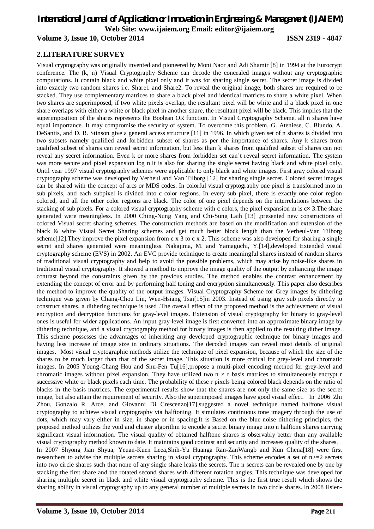# *International Journal of Application or Innovation in Engineering & Management (IJAIEM)* **Web Site: www.ijaiem.org Email: editor@ijaiem.org**

# **Volume 3, Issue 10, October 2014 ISSN 2319 - 4847**

# **2.LITERATURE SURVEY**

Visual cryptography was originally invented and pioneered by Moni Naor and Adi Shamir [8] in 1994 at the Eurocrypt conference. The (k, n) Visual Cryptography Scheme can decode the concealed images without any cryptographic computations. It contain black and white pixel only and it was for sharing single secret. The secret image is divided into exactly two random shares i.e. Share1 and Share2. To reveal the original image, both shares are required to be stacked. They use complementary matrices to share a black pixel and identical matrices to share a white pixel. When two shares are superimposed, if two white pixels overlap, the resultant pixel will be white and if a black pixel in one share overlaps with either a white or black pixel in another share, the resultant pixel will be black. This implies that the superimposition of the shares represents the Boolean OR function. In Visual Cryptography Scheme, all n shares have equal importance. It may compromise the security of system. To overcome this problem, G. Ateniese, C. Blundo, A. DeSantis, and D. R. Stinson give a general access structure [11] in 1996. In which given set of n shares is divided into two subsets namely qualified and forbidden subset of shares as per the importance of shares. Any k shares from qualified subset of shares can reveal secret information, but less than k shares from qualified subset of shares can not reveal any secret information. Even k or more shares from forbidden set can't reveal secret information. The system was more secure and pixel expansion log n.It is also for sharing the single secret having black and white pixel only. Until year 1997 visual cryptography schemes were applicable to only black and white images. First gray colored visual cryptography scheme was developed by Verheul and Van Tilborg [12] for sharing single secret. Colored secret images can be shared with the concept of arcs or MDS codes. In colorful visual cryptography one pixel is transformed into m sub pixels, and each subpixel is divided into c color regions. In every sub pixel, there is exactly one color region colored, and all the other color regions are black. The color of one pixel depends on the interrelations between the stacking of sub pixels. For a colored visual cryptography scheme with c colors, the pixel expansion m is  $cx$  3. The share generated were meaningless. In 2000 Ching-Nung Yang and Chi-Sung Laih [13] ,presented new constructions of colored Visual secret sharing schemes. The construction methods are based on the modification and extension of the black & white Visual Secret Sharing schemes and get much better block length than the Verheul-Van Tilborg scheme [12]. They improve the pixel expansion from c x 3 to c x 2. This scheme was also developed for sharing a single secret and shares generated were meaningless. Nakajima, M. and Yamaguchi, Y.[14],developed Extended visual cryptography scheme (EVS) in 2002. An EVC provide technique to create meaningful shares instead of random shares of traditional visual cryptography and help to avoid the possible problems, which may arise by noise-like shares in traditional visual cryptography. It showed a method to improve the image quality of the output by enhancing the image contrast beyond the constraints given by the previous studies. The method enables the contrast enhancement by extending the concept of error and by performing half toning and encryption simultaneously. This paper also describes the method to improve the quality of the output images. Visual Cryptography Scheme for Grey images by dithering technique was given by Chang-Chou Lin, Wen-Hsiang Tsai[15]in 2003. Instead of using gray sub pixels directly to construct shares, a dithering technique is used .The overall effect of the proposed method is the achievement of visual encryption and decryption functions for gray-level images. Extension of visual cryptography for binary to gray-level ones is useful for wider applications. An input gray-level image is first converted into an approximate binary image by dithering technique, and a visual cryptography method for binary images is then applied to the resulting dither image. This scheme possesses the advantages of inheriting any developed cryptographic technique for binary images and having less increase of image size in ordinary situations. The decoded images can reveal most details of original images. Most visual cryptographic methods utilize the technique of pixel expansion, because of which the size of the shares to be much larger than that of the secret image. This situation is more critical for grey-level and chromatic images. In 2005 Young-Chang Hou and Shu-Fen Tu[16],propose a multi-pixel encoding method for grey-level and chromatic images without pixel expansion. They have utilized two  $n \times r$  basis matrices to simultaneously encrypt r successive white or black pixels each time. The probability of these r pixels being colored black depends on the ratio of blacks in the basis matrices. The experimental results show that the shares are not only the same size as the secret image, but also attain the requirement of security. Also the superimposed images have good visual effect. In 2006 Zhi Zhou, Gonzalo R. Arce, and Giovanni Di Crescenzo[17],suggested a novel technique named halftone visual cryptography to achieve visual cryptography via halftoning. It simulates continuous tone imagery through the use of dots, which may vary either in size, in shape or in spacing.It is Based on the blue-noise dithering principles, the proposed method utilizes the void and cluster algorithm to encode a secret binary image into n halftone shares carrying significant visual information. The visual quality of obtained halftone shares is observably better than any available visual cryptography method known to date. It maintains good contrast and security and increases quality of the shares. In 2007 Shyong Jian Shyua, Yeuan-Kuen Leea,Shih-Yu Huanga Ran-ZanWangb and Kun Chena[18] were first researchers to advise the multiple secrets sharing in visual cryptography. This scheme encodes a set of  $n>=2$  secrets into two circle shares such that none of any single share leaks the secrets. The n secrets can be revealed one by one by stacking the first share and the rotated second shares with different rotation angles. This technique was developed for sharing multiple secret in black and white visual cryptography scheme. This is the first true result which shows the sharing ability in visual cryptography up to any general number of multiple secrets in two circle shares. In 2008 Hsien-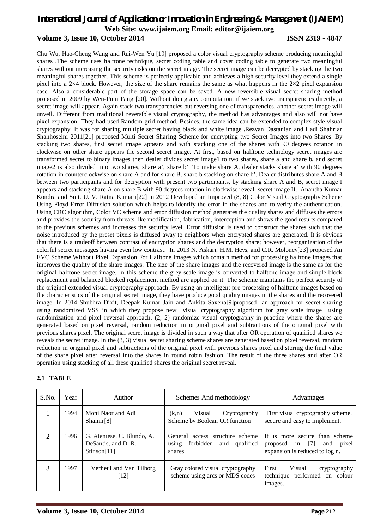# *International Journal of Application or Innovation in Engineering & Management (IJAIEM)* **Web Site: www.ijaiem.org Email: editor@ijaiem.org Volume 3, Issue 10, October 2014 ISSN 2319 - 4847**

Chu Wu, Hao-Cheng Wang and Rui-Wen Yu [19] proposed a color visual cryptography scheme producing meaningful shares .The scheme uses halftone technique, secret coding table and cover coding table to generate two meaningful shares without increasing the security risks on the secret image. The secret image can be decrypted by stacking the two meaningful shares together. This scheme is perfectly applicable and achieves a high security level they extend a single pixel into a 2×4 block. However, the size of the share remains the same as what happens in the 2×2 pixel expansion case. Also a considerable part of the storage space can be saved. A new reversible visual secret sharing method proposed in 2009 by Wen-Pinn Fang [20]. Without doing any computation, if we stack two transparencies directly, a secret image will appear. Again stack two transparencies but reversing one of transparencies, another secret image will unveil. Different from traditional reversible visual cryptography, the method has advantages and also will not have pixel expansion .They had used Random grid method. Besides, the same idea can be extended to complex style visual cryptography. It was for sharing multiple secret having black and white image .Rezvan Dastanian and Hadi Shahriar Shahhoseini 2011[21] proposed Multi Secret Sharing Scheme for encrypting two Secret Images into two Shares. By stacking two shares, first secret image appears and with stacking one of the shares with 90 degrees rotation in clockwise on other share appears the second secret image. At first, based on halftone technology secret images are transformed secret to binary images then dealer divides secret image1 to two shares, share a and share b, and secret image2 is also divided into two shares, share a', share b'. To make share A, dealer stacks share a' with 90 degrees rotation in counterclockwise on share A and for share B, share b stacking on share b'. Dealer distributes share A and B between two participants and for decryption with present two participants, by stacking share A and B, secret image I appears and stacking share A on share B with 90 degrees rotation in clockwise reveal secret image II. Anantha Kumar Kondra and Smt. U. V. Ratna Kumari[22] in 2012 Developed an Improved (8, 8) Color Visual Cryptography Scheme Using Floyd Error Diffusion solution which helps to identify the error in the shares and to verify the authentication. Using CRC algorithm, Color VC scheme and error diffusion method generates the quality shares and diffuses the errors and provides the security from threats like modification, fabrication, interception and shows the good results compared to the previous schemes and increases the security level. Error diffusion is used to construct the shares such that the noise introduced by the preset pixels is diffused away to neighbors when encrypted shares are generated. It is obvious that there is a tradeoff between contrast of encryption shares and the decryption share; however, reorganization of the colorful secret messages having even low contrast. In 2013 N. Askari, H.M. Heys, and C.R. Moloney[23] proposed An EVC Scheme Without Pixel Expansion For Halftone Images which contain method for processing halftone images that improves the quality of the share images. The size of the share images and the recovered image is the same as for the original halftone secret image. In this scheme the grey scale image is converted to halftone image and simple block replacement and balanced blocked replacement method are applied on it. The scheme maintains the perfect security of the original extended visual cryptography approach. By using an intelligent pre-processing of halftone images based on the characteristics of the original secret image, they have produce good quality images in the shares and the recovered image. In 2014 Shubhra Dixit, Deepak Kumar Jain and Ankita Saxena[9]proposed an approach for secret sharing using randomized VSS in which they propose new visual cryptography algorithm for gray scale image using randomization and pixel reversal approach. (2, 2) randomize visual cryptography in practice where the shares are generated based on pixel reversal, random reduction in original pixel and subtractions of the original pixel with previous shares pixel. The original secret image is divided in such a way that after OR operation of qualified shares we reveals the secret image. In the (3, 3) visual secret sharing scheme shares are generated based on pixel reversal, random reduction in original pixel and subtractions of the original pixel with previous shares pixel and storing the final value of the share pixel after reversal into the shares in round robin fashion. The result of the three shares and after OR operation using stacking of all these qualified shares the original secret reveal.

#### **2.1 TABLE**

| S.No. | Year | Author                                                           | Schemes And methodology                                                             | Advantages                                                                                               |
|-------|------|------------------------------------------------------------------|-------------------------------------------------------------------------------------|----------------------------------------------------------------------------------------------------------|
|       | 1994 | Moni Naor and Adi<br>Shamir[8]                                   | Visual<br>Cryptography<br>(k,n)<br>Scheme by Boolean OR function                    | First visual cryptography scheme,<br>secure and easy to implement.                                       |
| 2     | 1996 | G. Ateniese, C. Blundo, A.<br>DeSantis, and D. R.<br>Stinson[11] | General access structure scheme<br>forbidden<br>qualified<br>and<br>using<br>shares | It is more secure than scheme<br>[7]<br>proposed<br>and<br>pixel<br>in<br>expansion is reduced to log n. |
| 3     | 1997 | Verheul and Van Tilborg<br>[12]                                  | Gray colored visual cryptography<br>scheme using arcs or MDS codes                  | First<br>Visual<br>cryptography<br>technique performed on colour<br>images.                              |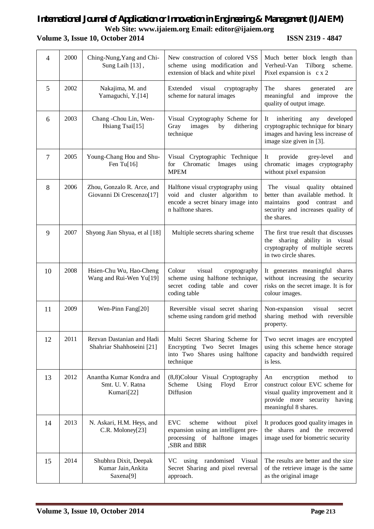# *International Journal of Application or Innovation in Engineering & Management (IJAIEM)* **Web Site: www.ijaiem.org Email: editor@ijaiem.org Volume 3, Issue 10, October 2014 ISSN 2319 - 4847**

| 4  | 2000 | Ching-Nung, Yang and Chi-<br>Sung Laih [13],               | New construction of colored VSS<br>scheme using modification and<br>extension of black and white pixel                           | Much better block length than<br>Verheul-Van<br>Tilborg<br>scheme.<br>Pixel expansion is c x 2                                                                   |
|----|------|------------------------------------------------------------|----------------------------------------------------------------------------------------------------------------------------------|------------------------------------------------------------------------------------------------------------------------------------------------------------------|
| 5  | 2002 | Nakajima, M. and<br>Yamaguchi, Y.[14]                      | Extended<br>visual<br>cryptography<br>scheme for natural images                                                                  | The<br>shares<br>generated<br>are<br>meaningful and improve<br>the<br>quality of output image.                                                                   |
| 6  | 2003 | Chang -Chou Lin, Wen-<br>Hsiang Tsai[15]                   | Visual Cryptography Scheme for<br>Gray<br>images<br>by<br>dithering<br>technique                                                 | inheriting<br>any<br>developed<br>It<br>cryptographic technique for binary<br>images and having less increase of<br>image size given in [3].                     |
| 7  | 2005 | Young-Chang Hou and Shu-<br>Fen Tu $[16]$                  | Visual Cryptographic Technique<br>Chromatic<br>Images<br>for<br>using<br><b>MPEM</b>                                             | provide<br>grey-level<br>It<br>and<br>chromatic images cryptography<br>without pixel expansion                                                                   |
| 8  | 2006 | Zhou, Gonzalo R. Arce, and<br>Giovanni Di Crescenzo[17]    | Halftone visual cryptography using<br>void and cluster algorithm to<br>encode a secret binary image into<br>n halftone shares.   | The visual quality obtained<br>better than available method. It<br>maintains<br>good contrast and<br>security and increases quality of<br>the shares.            |
| 9  | 2007 | Shyong Jian Shyua, et al [18]                              | Multiple secrets sharing scheme                                                                                                  | The first true result that discusses<br>the sharing ability in visual<br>cryptography of multiple secrets<br>in two circle shares.                               |
| 10 | 2008 | Hsien-Chu Wu, Hao-Cheng<br>Wang and Rui-Wen Yu[19]         | Colour<br>visual<br>cryptography<br>scheme using halftone technique,<br>secret coding table and cover<br>coding table            | It generates meaningful shares<br>without increasing the security<br>risks on the secret image. It is for<br>colour images.                                      |
| 11 | 2009 | Wen-Pinn Fang[20]                                          | Reversible visual secret sharing<br>scheme using random grid method                                                              | visual<br>Non-expansion<br>secret<br>sharing method with reversible<br>property.                                                                                 |
| 12 | 2011 | Rezvan Dastanian and Hadi<br>Shahriar Shahhoseini [21]     | Multi Secret Sharing Scheme for<br>Encrypting Two Secret Images<br>into Two Shares using halftone<br>technique                   | Two secret images are encrypted<br>using this scheme hence storage<br>capacity and bandwidth required<br>is less.                                                |
| 13 | 2012 | Anantha Kumar Kondra and<br>Smt. U. V. Ratna<br>Kumari[22] | (8,8)Colour Visual Cryptography<br>Scheme<br>Using<br>Floyd<br>Error<br>Diffusion                                                | encryption<br>method<br>An<br>to<br>construct colour EVC scheme for<br>visual quality improvement and it<br>provide more security having<br>meaningful 8 shares. |
| 14 | 2013 | N. Askari, H.M. Heys, and<br>C.R. Moloney[23]              | <b>EVC</b><br>without<br>scheme<br>pixel<br>expansion using an intelligent pre-<br>processing of halftone images<br>,SBR and BBR | It produces good quality images in<br>the shares and the recovered<br>image used for biometric security                                                          |
| 15 | 2014 | Shubhra Dixit, Deepak<br>Kumar Jain, Ankita<br>Saxena[9]   | VC using randomised<br>Visual<br>Secret Sharing and pixel reversal<br>approach.                                                  | The results are better and the size<br>of the retrieve image is the same<br>as the original image                                                                |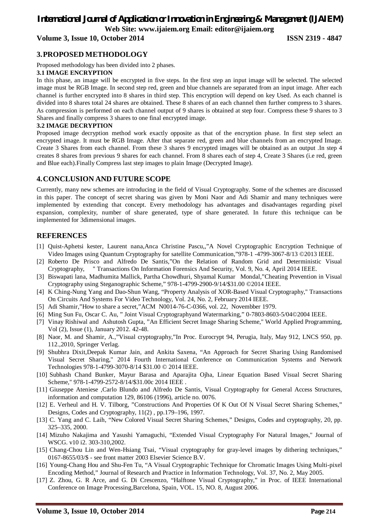# *International Journal of Application or Innovation in Engineering & Management (IJAIEM)* **Web Site: www.ijaiem.org Email: editor@ijaiem.org**

# **Volume 3, Issue 10, October 2014 ISSN 2319 - 4847**

# **3.PROPOSED METHODOLOGY**

Proposed methodology has been divided into 2 phases.

#### **3.1 IMAGE ENCRYPTION**

In this phase, an image will be encrypted in five steps. In the first step an input image will be selected. The selected image must be RGB Image. In second step red, green and blue channels are separated from an input image. After each channel is further encrypted into 8 shares in third step. This encryption will depend on key Used. As each channel is divided into 8 shares total 24 shares are obtained. These 8 shares of an each channel then further compress to 3 shares. As compression is performed on each channel output of 9 shares is obtained at step four. Compress these 9 shares to 3 Shares and finally compress 3 shares to one final encrypted image.

#### **3.2 IMAGE DECRYPTION**

Proposed image decryption method work exactly opposite as that of the encryption phase. In first step select an encrypted image. It must be RGB Image. After that separate red, green and blue channels from an encrypted Image. Create 3 Shares from each channel. From these 3 shares 9 encrypted images will be obtained as an output .In step 4 creates 8 shares from previous 9 shares for each channel. From 8 shares each of step 4, Create 3 Shares (i.e red, green and Blue each).Finally Compress last step images to plain Image (Decrypted Image).

# **4.CONCLUSION AND FUTURE SCOPE**

Currently, many new schemes are introducing in the field of Visual Cryptography. Some of the schemes are discussed in this paper. The concept of secret sharing was given by Moni Naor and Adi Shamir and many techniques were implemented by extending that concept. Every methodology has advantages and disadvantages regarding pixel expansion, complexity, number of share generated, type of share generated. In future this technique can be implemented for 3dimensional images.

# **REFERENCES**

- [1] Quist-Aphetsi kester, Laurent nana,Anca Christine Pascu,,"A Novel Cryptographic Encryption Technique of Video Images using Quantum Cryptography for satellite Communication,"978-1 -4799-3067-8/13 ©2013 IEEE.
- [2] Roberto De Prisco and Alfredo De Santis,"On the Relation of Random Grid and Deterministic Visual Cryptography, '' Transactions On Information Forensics And Security, Vol. 9, No. 4, April 2014 IEEE.
- [3] Biswapati lana, Madhumita Mallick, Partha Chowdhuri, Shyamal Kumar Mondal,"Cheating Prevention in Visual Cryptography using Steganographic Scheme," 978-1-4799-2900-9/14/\$31.00 ©2014 IEEE.
- [4] K Ching-Nung Yang and Dao-Shun Wang, "Property Analysis of XOR-Based Visual Cryptography,'' Transactions On Circuits And Systems For Video Technology, Vol. 24, No. 2, February 2014 IEEE.
- [5] Adi Shamir,"How to share a secret,"ACM N0014-76-C-0366, vol. 22, Novembber 1979.
- [6] Ming Sun Fu, Oscar C. Au, " Joint Visual Cryptographyand Watermarking," 0-7803-8603-5/04©2004 IEEE.
- [7] Vinay Rishiwal and Ashutosh Gupta, "An Efficient Secret Image Sharing Scheme,'' World Applied Programming, Vol (2), Issue (1), January 2012. 42-48.
- [8] Naor, M. and Shamir, A.,"Visual cryptography,"In Proc. Eurocrypt 94, Perugia, Italy, May 912, LNCS 950, pp. 112.,2010, Springer Verlag.
- [9] Shubhra Dixit,Deepak Kumar Jain, and Ankita Saxena, "An Approach for Secret Sharing Using Randomised Visual Secret Sharing,'' 2014 Fourth International Conference on Communication Systems and Network Technologies 978-1-4799-3070-8/14 \$31.00 © 2014 IEEE.
- [10] Subhash Chand Bunker, Mayur Barasa and Aparajita Ojha, Linear Equation Based Visual Secret Sharing Scheme,'' 978-1-4799-2572-8/14/\$31.00c 2014 IEEE .
- [11] Giuseppe Ateniese ,Carlo Blundo and Alfredo De Santis, Visual Cryptography for General Access Structures, information and computation 129, 86106 (1996), article no. 0076.
- [12] E. Verheul and H. V. Tilborg, "Constructions And Properties Of K Out Of N Visual Secret Sharing Schemes," Designs, Codes and Cryptography, 11(2) , pp.179–196, 1997.
- [13] C. Yang and C. Laih, "New Colored Visual Secret Sharing Schemes," Designs, Codes and cryptography, 20, pp. 325–335, 2000.
- [14] Mizuho Nakajima and Yasushi Yamaguchi, "Extended Visual Cryptography For Natural Images,'' Journal of WSCG. v10 i2. 303-310,2002.
- [15] Chang-Chou Lin and Wen-Hsiang Tsai, "Visual cryptography for gray-level images by dithering techniques," 0167-8655/03/\$ - see front matter 2003 Elsevier Science B.V.
- [16] Young-Chang Hou and Shu-Fen Tu, "A Visual Cryptographic Technique for Chromatic Images Using Multi-pixel Encoding Method," Journal of Research and Practice in Information Technology, Vol. 37, No. 2, May 2005.
- [17] Z. Zhou, G. R Arce, and G. Di Crescenzo, "Halftone Visual Cryptography," in Proc. of IEEE International Conference on Image Processing,Barcelona, Spain, VOL. 15, NO. 8, August 2006.